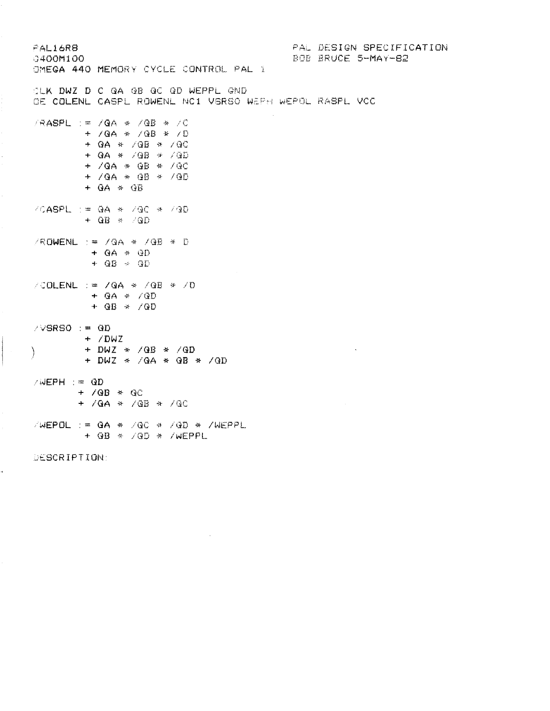PAL DESIGN SPECIFICATION FAL16R8 BOB BRUCE 5-MAY-82 0400M100 OMEGA 440 MEMORY CYCLE CONTROL PAL 1 CLK DWZ D C QA QB QC QD WEPPL GND OE COLENL CASPL ROWENL NC1 VSRSO WEFH WEPOL RASPL VCC /RASPL := /QA \* /QB \* /C + /QA \* /QB \* /D + QA \* /QB \* /QC + QA \* /QB \* /QD + /QA \* QB \* /QC + /QA \* QB \* /QD  $+$  QA  $*$  QB /CASPL := QA \* /QC \* /QD  $+$  QB  $\ast$  /QD /ROWENL := /QA \* /QB \* D  $+$  QA  $*$  QD  $+$  QB  $\rightarrow$  QD /COLENL := /QA \* /QB \* /D  $+$  QA  $*$  /QD  $+$  QB  $\div$  /QD  $\angle \lor$ SRSO := QD  $+$  /DWZ + DWZ \* /QB \* /QD  $\sim 10^{-1}$ ∖ + DWZ  $\ast$  /QA  $\ast$  QB  $\ast$  /QD  $\angle WEPH := QD$  $+$  /QB  $*$  QC  $+$  /QA  $*$  /QB  $*$  /QC  $\sqrt{MEPOL}$  := QA \* /QC \* /QD \* /WEPPL  $+$  QB  $*$  /QD  $*$  /WEPPL DESCRIPTION: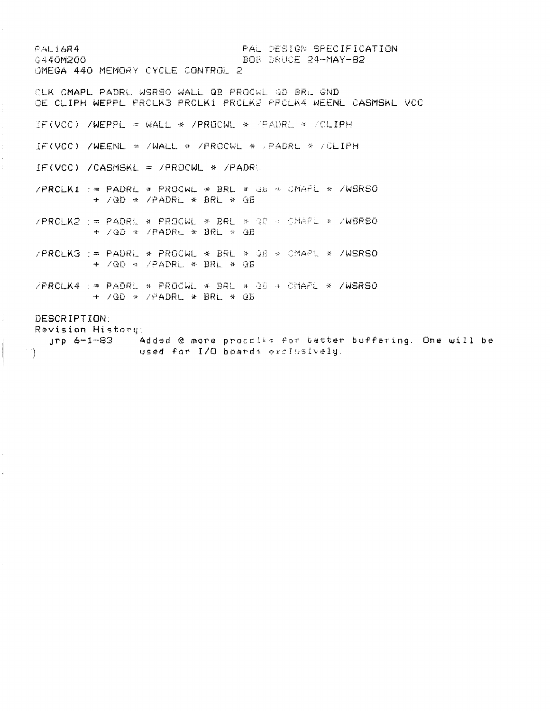- PAL16R4<br>- PAL16R4 PAL DESIGN SPECIFICATION<br>- BOB BRUCE 24-MAY-82 BOB BRUCE 24-MAY-82 OMEGA 440 MEMORY CYCLE CONTROL 2 CLK CMAFL PADRL WSRSO WALL QB PROCWL *QD 3RL GND*  IF(VCC) /WEPPL = WALL \* /PROCWL \* (PAURL \* /CLIPH IF(VCC) /WEENL = /WALL \* /PROCWL \* /PADRL \* /CLIPH IF(VCC) /CASMSKL = /PROCWL \* /PADRL /PRCLKi : » PADRL \* PROCWL \* BRL \* *QB* \* CMAPL \* /WSRSO *+ /QD* \* /PADRL \* BRL ^ QB /PRCLK2 ; » PADRL \* PROCWL \* BRL **\* /if;** *CHAP-* \* /WSRSO + /QD \* /PADRL \* BRL \* QB /PRCL.R3 : ~ PADRL \* PROCWL \* BRL \* *QB* \* CMAPL \* /WSRSO + /QD -a /PADRL \* BRL \* OB  $/PRCLKA$  : = PADRL \* PROCWL \* BRL \* QB \* CMAPL \* /WSRSO + /QD \* /PADRL \* BRL \* QB DESCRIPTION: Revision History: jrp 6-1-83 Added € more proccU s for better buffering. One will be

) used for I/O boards exclusively.

Ŧ

 $\bar{\mathbf{r}}$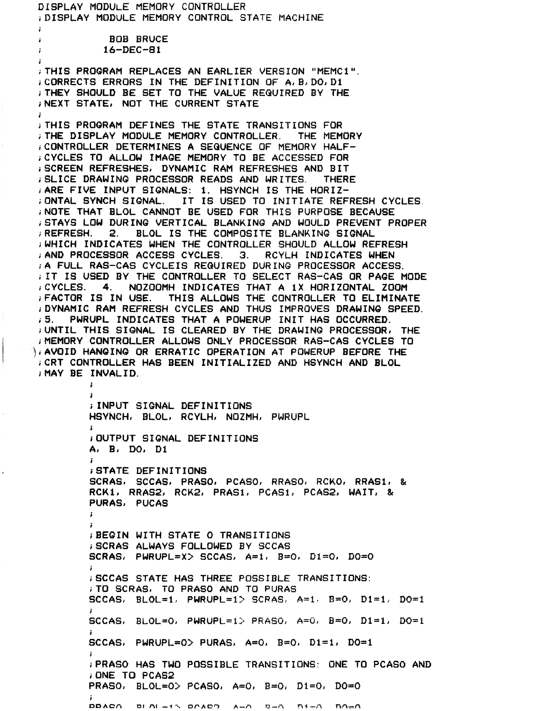**DISPLAY MODULE MEMORY CONTROLLER iDISPLAY MODULE MEMORY CONTROL STATE MACHINE i BOB BRUCE ; 16-DEC-81 ;THIS PROGRAM REPLACES AN EARLIER VERSION "MEMC1". iCORRECTS ERRORS IN THE DEFINITION OF A, B,DO, Di ;THEY SHOULD BE SET TO THE VALUE REQUIRED BY THE ;NEXT STATE, NOT THE CURRENT STATE**   $\mathbf{r}$ **i THIS PROGRAM DEFINES THE STATE TRANSITIONS FOR ;THE DISPLAY MODULE MEMORY CONTROLLER. THE MEMORY iCONTROLLER DETERMINES A SEQUENCE OF MEMORY HALFi CYCLES TO ALLOW IMAGE MEMORY TO BE ACCESSED FOR iSCREEN REFRESHES, DYNAMIC RAM REFRESHES AND BIT ;SLICE DRAWING PROCESSOR READS AND WRITES. THERE .ARE FIVE INPUT SIGNALS: 1. HSYNCH IS THE HORIZ-ONTA L SYNCH SIGNAL. IT IS USED TO INITIATE REFRESH CYCLES. ; NOTE THAT BLOL CANNOT BE USED FOR THIS PURPOSE BECAUSE ,STAYS LOW DURING VERTICAL BLANKING AND WOULD PREVENT PROPER ; REFRESH. 2. BLOL IS THE COMPOSITE BLANKING SIGNAL iWHICH INDICATES WHEN THE CONTROLLER SHOULD ALLOW REFRESH ,•AND PROCESSOR ACCESS CYCLES. 3. RCYLH INDICATES WHEN » A FULL RAS-CAS CYCLEIS REQUIRED DURING PROCESSOR ACCESS. ; IT IS USED BY THE CONTROLLER TO SELECT RAS-CAS OR PAGE MODE iCYCLES. 4. NOZOOMH INDICATES THAT A IX HORIZONTAL ZOOM iFACTOR IS IN USE. THIS ALLOWS THE CONTROLLER TO ELIMINATE ;DYNAMIC RAM REFRESH CYCLES AND THUS IMPROVES DRAWING SPEED. ,5. PWRUPL INDICATES THAT A POWERUP INIT HAS OCCURRED. ;UNTIL THIS SIGNAL IS CLEARED BY THE DRAWING PROCESSOR, THE ;MEMORY CONTROLLER ALLOWS ONLY PROCESSOR RAS-CAS CYCLES TO ), AVOID HANGING OR ERRATIC OPERATION AT POWERUP BEFORE THE >CRT CONTROLLER HAS BEEN INITIALIZED AND HSYNCH AND BLOL ;MAY BE INVALID, t i INPUT SIGNAL DEFINITIONS HSYNCH, BLOL, RCYLH, NOZMH, PWRUPL » i OUTPUT SIGNAL DEFINITIONS A# B; DO\* Dl**  *i*  **iSTATE DEFINITIONS SCRAS, SCC AS, PRASO, PCASO, RRASO, RCKO, RRAS1, & RCK1, RRAS2, RCK2, PRAS1, PCASi, PCAS2, WAIT, & PURAS, PUCAS**  *i »*  **>BEGIN WITH STATE 0 TRANSITIONS iSCRAS ALWAYS FOLLOWED BY SCCAS SCRAS, PWRUPL=X> SCCAS, A=l, B=0, D1=0, D0=0**  *»*  **iSCCAS STATE HAS THREE POSSIBLE TRANSITIONS: ; TO SCRAS, TO PRASO AND TO PURAS**  SCCAS, BLOL=1, PWRUPL=1> SCRAS, A=1, B=0, D1=1, DO=1 **/ SCCAS, BLOL=0, PWRUPL=1> PRASO, A=0, B=0, D1=1, D0=1 i**  SCCAS, PWRUPL=0> PURAS, A=0, B=0, D1=1, D0=1 **f jPRASO HAS TWO POSSIBLE TRANSITIONS: ONE TO PCASO AND iONE TO PCAS2 PRASO, BL0L=0> PCASO, A=0, B=0, D1=0, D0=0 i DDACA Dl Al — 1 % D^ACH A—A O— A** *TS i* **— A HA-A**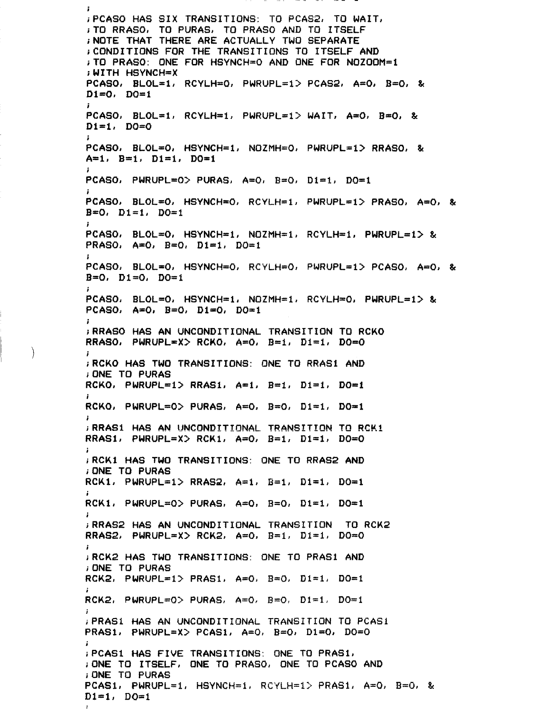$\ddot{\phantom{a}}$ **iPCASO HAS SIX TRANSITIONS: TO PCAS2, TO WAIT, iTO RRASO, TO PURAS, TO PRASO AND TO ITSELF iNOTE THAT THERE ARE ACTUALLY TWO SEPARATE iCONDITIONS FOR THE TRANSITIONS TO ITSELF AND iTO PRASO: ONE FOR HSYNCH^O AND ONE FOR NOZOOM=l ,WITH HSYNCH=X PCASO, BLOL»l, RCYLH=0, PWRUPL=1> PCAS2, A=0, B=0, &**   $D1=0$ ,  $D0=1$ **PCASO, BLOL=i, RCYLH=1, PWRUPL=1> WAIT, A=0, B\*0, & Dl=l,** *DO—O i*  **PCASO, BL0L«0, HSYNCH—1, N0ZMH=0, PWRUPL=1> RRASO, &**   $A=1$ ,  $B=1$ ,  $D1=1$ ,  $D0=1$ **I PCASO, PWRUPL=0> PURAS, A=0, B=0, Dl = l, DO=l » PCASO, BL0L=0, HSYNCH«0, RCYLH=1, PWRUPL=1> PRASO, A=0, &**  *B=0, Dl-h* **DO=l j PCASO, BL0L=0, HSYNCH\*1, NOZMH=l, RCYLH=i, PWRUPL=1> & PRASO, A=0, B=0, Di=1, DO=1** I **PCASO, BLOL-O, HSYNCH=0, RCYLH=0, PWRUPL=1> PCASO, A«=0, & B=0, Di=0, DO=i I PCASO, BL0L=0, HSYNCH=1, NOZMH=l, RCYLH=0, PWRUPL=1> & PCASO, A»0, B=0, Di»0, DO»l**  *i*  **; RRASO HAS AN UNCONDITIONAL TRANSITION TO RCKO RRASO, PWRUPL=X> RCKO, A=0, B=1, Di=1, D0=0 ,RCKO HAS TWO TRANSITIONS: ONE TO RRAS1 AND iONE TO PURAS**  RCKO, PWRUPL=1> RRAS1, A=1, B=1, Di=1, DO=1 **I RCKO, PWRUPL=0> PURAS, A=0, B=0, D1=1, D0=1** *i*  **iRRASi HAS AN UNCONDITIONAL TRANSITION TO RCK1 RRAS1, PWRUPL=X> RCK1, A=0, B=l, Dl=l, D0=0 ; RCK1 HAS TWO TRANSITIONS: ONE TO RRAS2 AND ;ONE TO PURAS RCK1, PWRUPL=1> RRAS2, A=i, B=l, Di=i, DO=l i RCKl, PWRUPL=0> PURAS, A=0, B=0, Dl=l, DO=l**  i. **i RRAS2 HAS AN UNCONDITIONAL TRANSITION TO RCK2 RRAS2, PWRUPL=X> RCK2, A=0, B=1, D1=1, D0=0 i RCK2 HAS TWO TRANSITIONS: ONE TO PRAS1 AND ;ONE TO PURAS**  RCK2, PWRUPL=1> PRAS1, A=0, B=0, D1=1, D0=1 *I*  **RCK2, PWRUPL=0> PURAS, A=0, B=0, D1=1, D0=1** / **iPRASI HAS AN UNCONDITIONAL TRANSITION TO PCAS1 PRASI, PWRUPL=X> PCAS1, A=0, B=0, D1=0, D0=0 iPCASi HAS FIVE TRANSITIONS: ONE TO PRASI, ;ONE TO ITSELF, ONE TO PRASO, ONE TO PCASO AND iONE TO PURAS PCAS1, PWRUPL=i, HSYNCH=1« RCYLH=1> PRASi, A=0, B=0, &**   $D1 = 1$ ,  $D0 = 1$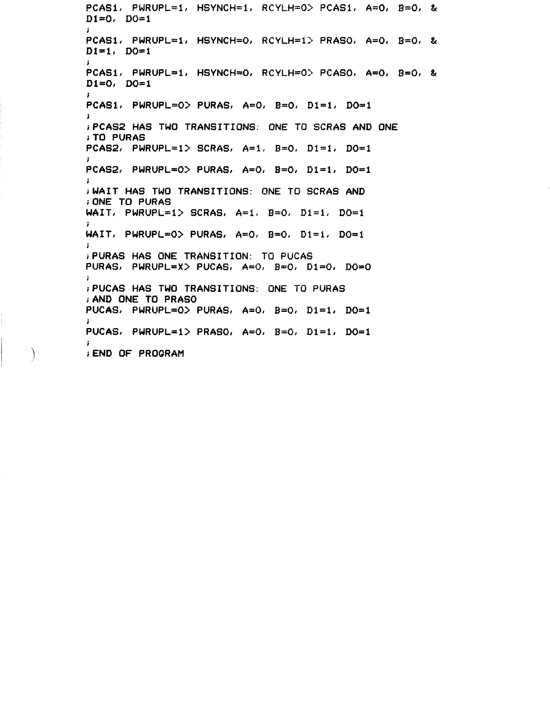**PCASi, PWRUPL=1, HSYNCH=i, RCYLH=0> PCASI, A=0, B=0, & D1=0/ D0=1**  *§*  **PCASi, PWRUPL=1, HSYNCH=0, RCYLH=1> PRASO, A=0, B=0, & Dl=l, DQ=1 I**  PCASi, PWRUPL=1, HSYNCH=0, RCYLH=0> PCASO, A=0, B=0, & **D1=0, D0=1**  *i*  **PCASI, PWRUPL=0> PURAS, A=0, B=0, Dl=i, D0»1**   $\mathbf{r}$ **>PCAS2 HAS TWO TRANSITIONS: ONE TO SCRAS AND ONE iTO PURAS PCAS2, PWRUPL=i> SCRAS, A=i, E=0, Dl=l, D0=1**  *i*  **PCAS2, PWRUPL=0> PURAS, A=0, B=0, Di=1, D0=1**  $\ddot{ }$ **jWAIT HAS TWO TRANSITIONS: ONE TO SCRAS AND , ONE TO PURAS**  WAIT, PWRUPL=1> SCRAS, A=1, B=0, Di=1, D0=1 *i*  **WAIT, PWRUPL=0> PURAS, A=0, B=0, Di=i, D0=1** *i*  **iPURAS HAS ONE TRANSITION: TO PUCAS PURAS, PWRUPL=X> PUCAS, A»0, B=0, D1=0, D0=0 ; PUCAS HAS TWO TRANSITIONS: ONE TO PURAS ,AND ONE TO PRASO**  PUCAS, PWRUPL=0> PURAS, A=0, B=0, Di=1, D0=1 *i*  **PUCAS, PWRUPL=1> PRASO, A=0, B=0, Di=l, D0=1**  *i*  **iEND OF PROGRAM** 

 $\rightarrow$